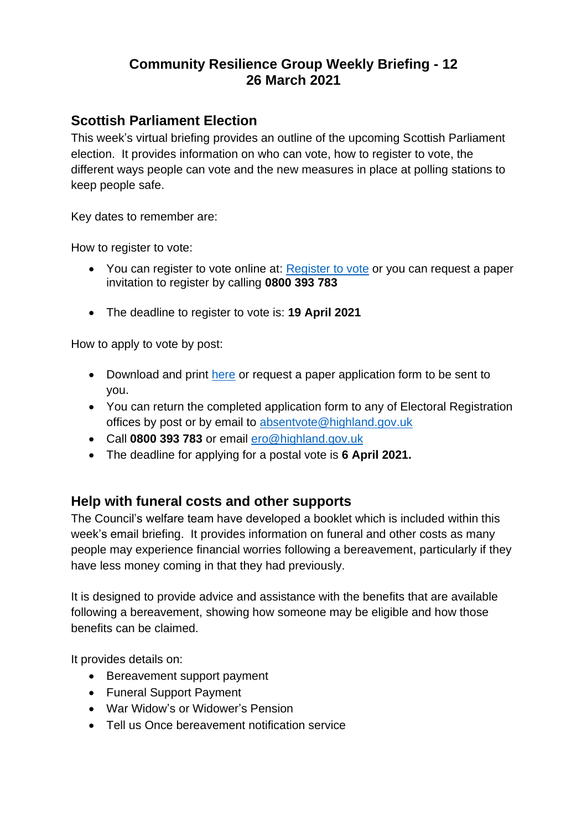## **Community Resilience Group Weekly Briefing - 12 26 March 2021**

#### **Scottish Parliament Election**

This week's virtual briefing provides an outline of the upcoming Scottish Parliament election. It provides information on who can vote, how to register to vote, the different ways people can vote and the new measures in place at polling stations to keep people safe.

Key dates to remember are:

How to register to vote:

- You can register to vote online at: [Register to vote](https://www.gov.uk/register-to-vote) or you can request a paper invitation to register by calling **0800 393 783**
- The deadline to register to vote is: **19 April 2021**

How to apply to vote by post:

- Download and print [here](https://www.saa.gov.uk/h-wi-vjb/download/1627/) or request a paper application form to be sent to you.
- You can return the completed application form to any of Electoral Registration offices by post or by email to [absentvote@highland.gov.uk](mailto:absentvote@highland.gov.uk)
- Call **0800 393 783** or email [ero@highland.gov.uk](mailto:ero@highland.gov.uk)
- The deadline for applying for a postal vote is **6 April 2021.**

#### **Help with funeral costs and other supports**

The Council's welfare team have developed a booklet which is included within this week's email briefing. It provides information on funeral and other costs as many people may experience financial worries following a bereavement, particularly if they have less money coming in that they had previously.

It is designed to provide advice and assistance with the benefits that are available following a bereavement, showing how someone may be eligible and how those benefits can be claimed.

It provides details on:

- Bereavement support payment
- Funeral Support Payment
- War Widow's or Widower's Pension
- Tell us Once bereavement notification service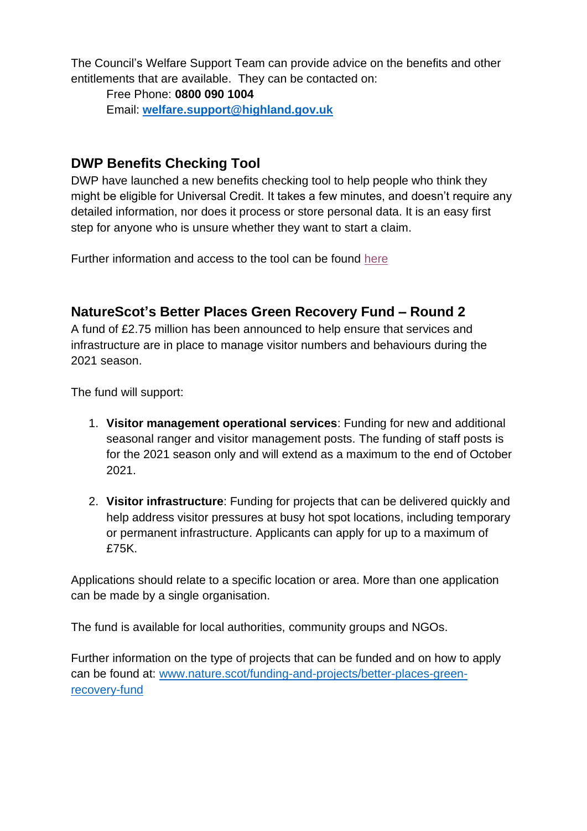The Council's Welfare Support Team can provide advice on the benefits and other entitlements that are available. They can be contacted on:

Free Phone: **0800 090 1004** Email: **[welfare.support@highland.gov.uk](mailto:welfare.support@highland.gov.uk)**

## **DWP Benefits Checking Tool**

DWP have launched a new benefits checking tool to help people who think they might be eligible for Universal Credit. It takes a few minutes, and doesn't require any detailed information, nor does it process or store personal data. It is an easy first step for anyone who is unsure whether they want to start a claim.

Further information and access to the tool can be found [here](https://eur02.safelinks.protection.outlook.com/?url=https%3A%2F%2Fdwp-benefits-checker.shorthandstories.com%2Fstep-1%2Findex.html%3F_sm_au_%3DiVV2PjrWnNMrHH65W2MN0K7K1WVjq%26utm_source%3Dhttps%253a%252f%252fnews.dwp.gov.uk%252fdwplz%252f%26utm_medium%3Demail%26utm_campaign%3DTouchbase%2B-%2B19%2BMarch%2B2021%26utm_term%3DTouchbase%2B-%2B19%2BMarch%2B2021%26utm_content%3D37910&data=04%7C01%7C%7Caa2c4228a70243a9a74208d8ebbd533c%7C89f0b56e6d164fe89dba176fa940f7c9%7C0%7C0%7C637518545658524536%7CUnknown%7CTWFpbGZsb3d8eyJWIjoiMC4wLjAwMDAiLCJQIjoiV2luMzIiLCJBTiI6Ik1haWwiLCJXVCI6Mn0%3D%7C1000&sdata=ScUXXfn5oCeuP%2FRJoUVG20JmGDdS9fxdI47eaB%2Fs%2FMc%3D&reserved=0)

## **NatureScot's Better Places Green Recovery Fund – Round 2**

A fund of £2.75 million has been announced to help ensure that services and infrastructure are in place to manage visitor numbers and behaviours during the 2021 season.

The fund will support:

- 1. **Visitor management operational services**: Funding for new and additional seasonal ranger and visitor management posts. The funding of staff posts is for the 2021 season only and will extend as a maximum to the end of October 2021.
- 2. **Visitor infrastructure**: Funding for projects that can be delivered quickly and help address visitor pressures at busy hot spot locations, including temporary or permanent infrastructure. Applicants can apply for up to a maximum of £75K.

Applications should relate to a specific location or area. More than one application can be made by a single organisation.

The fund is available for local authorities, community groups and NGOs.

Further information on the type of projects that can be funded and on how to apply can be found at: [www.nature.scot/funding-and-projects/better-places-green](http://www.nature.scot/funding-and-projects/better-places-green-recovery-fund)[recovery-fund](http://www.nature.scot/funding-and-projects/better-places-green-recovery-fund)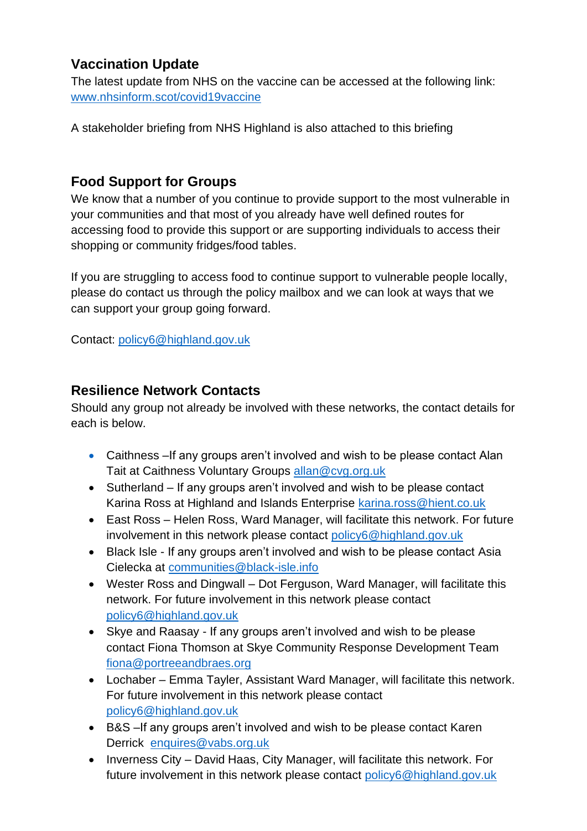## **Vaccination Update**

The latest update from NHS on the vaccine can be accessed at the following link: [www.nhsinform.scot/covid19vaccine](http://www.nhsinform.scot/covid19vaccine)

A stakeholder briefing from NHS Highland is also attached to this briefing

#### **Food Support for Groups**

We know that a number of you continue to provide support to the most vulnerable in your communities and that most of you already have well defined routes for accessing food to provide this support or are supporting individuals to access their shopping or community fridges/food tables.

If you are struggling to access food to continue support to vulnerable people locally, please do contact us through the policy mailbox and we can look at ways that we can support your group going forward.

Contact: [policy6@highland.gov.uk](mailto:policy6@highland.gov.uk)

#### **Resilience Network Contacts**

Should any group not already be involved with these networks, the contact details for each is below.

- Caithness –If any groups aren't involved and wish to be please contact Alan Tait at Caithness Voluntary Groups [allan@cvg.org.uk](mailto:allan@cvg.org.uk)
- Sutherland If any groups aren't involved and wish to be please contact Karina Ross at Highland and Islands Enterprise [karina.ross@hient.co.uk](mailto:karina.ross@hient.co.uk)
- East Ross Helen Ross, Ward Manager, will facilitate this network. For future involvement in this network please contact [policy6@highland.gov.uk](mailto:policy6@highland.gov.uk)
- Black Isle If any groups aren't involved and wish to be please contact Asia Cielecka at [communities@black-isle.info](mailto:communities@black-isle.info)
- Wester Ross and Dingwall Dot Ferguson, Ward Manager, will facilitate this network. For future involvement in this network please contact [policy6@highland.gov.uk](mailto:policy6@highland.gov.uk)
- Skye and Raasay If any groups aren't involved and wish to be please contact Fiona Thomson at Skye Community Response Development Team [fiona@portreeandbraes.org](mailto:fiona@portreeandbraes.org)
- Lochaber Emma Tayler, Assistant Ward Manager, will facilitate this network. For future involvement in this network please contact [policy6@highland.gov.uk](mailto:policy6@highland.gov.uk)
- B&S –If any groups aren't involved and wish to be please contact Karen Derrick [enquires@vabs.org.uk](mailto:enquires@vabs.org.uk)
- Inverness City David Haas, City Manager, will facilitate this network. For future involvement in this network please contact [policy6@highland.gov.uk](mailto:policy6@highland.gov.uk)